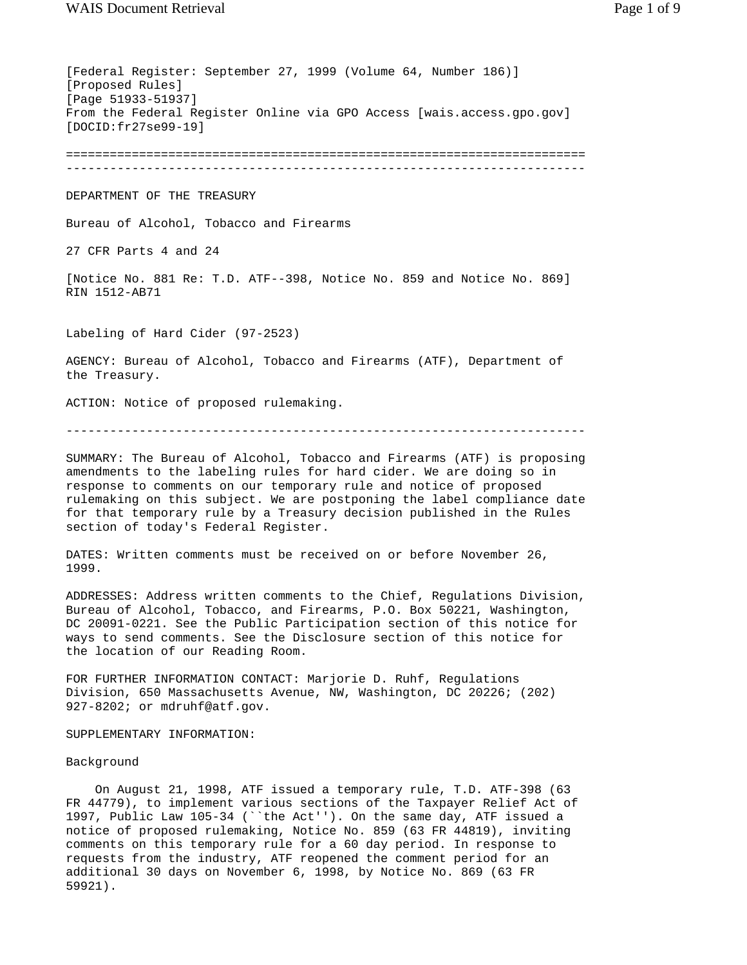[Federal Register: September 27, 1999 (Volume 64, Number 186)] [Proposed Rules] [Page 51933-51937] From the Federal Register Online via GPO Access [wais.access.gpo.gov] [DOCID:fr27se99-19] ======================================================================= ----------------------------------------------------------------------- DEPARTMENT OF THE TREASURY Bureau of Alcohol, Tobacco and Firearms 27 CFR Parts 4 and 24 [Notice No. 881 Re: T.D. ATF--398, Notice No. 859 and Notice No. 869] RIN 1512-AB71 Labeling of Hard Cider (97-2523) AGENCY: Bureau of Alcohol, Tobacco and Firearms (ATF), Department of the Treasury. ACTION: Notice of proposed rulemaking. ----------------------------------------------------------------------- SUMMARY: The Bureau of Alcohol, Tobacco and Firearms (ATF) is proposing amendments to the labeling rules for hard cider. We are doing so in response to comments on our temporary rule and notice of proposed rulemaking on this subject. We are postponing the label compliance date for that temporary rule by a Treasury decision published in the Rules

DATES: Written comments must be received on or before November 26, 1999.

ADDRESSES: Address written comments to the Chief, Regulations Division, Bureau of Alcohol, Tobacco, and Firearms, P.O. Box 50221, Washington, DC 20091-0221. See the Public Participation section of this notice for ways to send comments. See the Disclosure section of this notice for the location of our Reading Room.

FOR FURTHER INFORMATION CONTACT: Marjorie D. Ruhf, Regulations Division, 650 Massachusetts Avenue, NW, Washington, DC 20226; (202) 927-8202; or mdruhf@atf.gov.

SUPPLEMENTARY INFORMATION:

section of today's Federal Register.

### Background

 On August 21, 1998, ATF issued a temporary rule, T.D. ATF-398 (63 FR 44779), to implement various sections of the Taxpayer Relief Act of 1997, Public Law 105-34 (``the Act''). On the same day, ATF issued a notice of proposed rulemaking, Notice No. 859 (63 FR 44819), inviting comments on this temporary rule for a 60 day period. In response to requests from the industry, ATF reopened the comment period for an additional 30 days on November 6, 1998, by Notice No. 869 (63 FR 59921).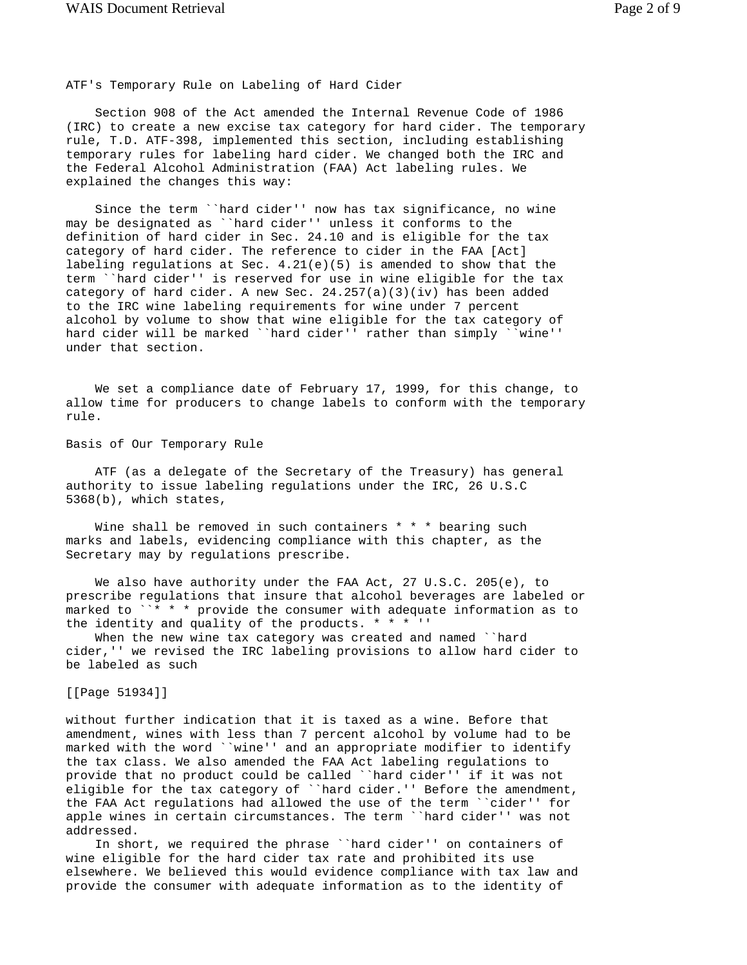ATF's Temporary Rule on Labeling of Hard Cider

 Section 908 of the Act amended the Internal Revenue Code of 1986 (IRC) to create a new excise tax category for hard cider. The temporary rule, T.D. ATF-398, implemented this section, including establishing temporary rules for labeling hard cider. We changed both the IRC and the Federal Alcohol Administration (FAA) Act labeling rules. We explained the changes this way:

 Since the term ``hard cider'' now has tax significance, no wine may be designated as ``hard cider'' unless it conforms to the definition of hard cider in Sec. 24.10 and is eligible for the tax category of hard cider. The reference to cider in the FAA [Act] labeling regulations at Sec.  $4.21(e)(5)$  is amended to show that the term ``hard cider'' is reserved for use in wine eligible for the tax category of hard cider. A new Sec.  $24.257(a)(3)(iv)$  has been added to the IRC wine labeling requirements for wine under 7 percent alcohol by volume to show that wine eligible for the tax category of hard cider will be marked ``hard cider'' rather than simply ``wine'' under that section.

 We set a compliance date of February 17, 1999, for this change, to allow time for producers to change labels to conform with the temporary rule.

Basis of Our Temporary Rule

 ATF (as a delegate of the Secretary of the Treasury) has general authority to issue labeling regulations under the IRC, 26 U.S.C 5368(b), which states,

Wine shall be removed in such containers  $* * *$  bearing such marks and labels, evidencing compliance with this chapter, as the Secretary may by regulations prescribe.

 We also have authority under the FAA Act, 27 U.S.C. 205(e), to prescribe regulations that insure that alcohol beverages are labeled or marked to ``\* \* \* provide the consumer with adequate information as to the identity and quality of the products. \* \* \* ''

 When the new wine tax category was created and named ``hard cider,'' we revised the IRC labeling provisions to allow hard cider to be labeled as such

[[Page 51934]]

without further indication that it is taxed as a wine. Before that amendment, wines with less than 7 percent alcohol by volume had to be marked with the word ``wine'' and an appropriate modifier to identify the tax class. We also amended the FAA Act labeling regulations to provide that no product could be called ``hard cider'' if it was not eligible for the tax category of ``hard cider.'' Before the amendment, the FAA Act regulations had allowed the use of the term ``cider'' for apple wines in certain circumstances. The term ``hard cider'' was not addressed.

 In short, we required the phrase ``hard cider'' on containers of wine eligible for the hard cider tax rate and prohibited its use elsewhere. We believed this would evidence compliance with tax law and provide the consumer with adequate information as to the identity of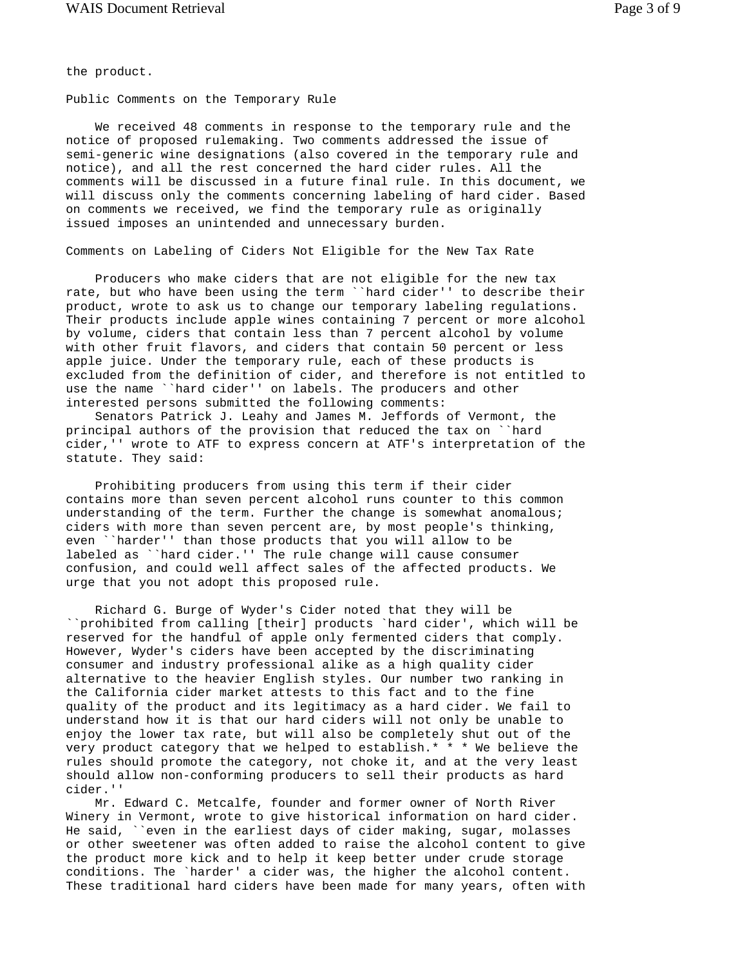the product.

Public Comments on the Temporary Rule

 We received 48 comments in response to the temporary rule and the notice of proposed rulemaking. Two comments addressed the issue of semi-generic wine designations (also covered in the temporary rule and notice), and all the rest concerned the hard cider rules. All the comments will be discussed in a future final rule. In this document, we will discuss only the comments concerning labeling of hard cider. Based on comments we received, we find the temporary rule as originally issued imposes an unintended and unnecessary burden.

Comments on Labeling of Ciders Not Eligible for the New Tax Rate

 Producers who make ciders that are not eligible for the new tax rate, but who have been using the term ``hard cider'' to describe their product, wrote to ask us to change our temporary labeling regulations. Their products include apple wines containing 7 percent or more alcohol by volume, ciders that contain less than 7 percent alcohol by volume with other fruit flavors, and ciders that contain 50 percent or less apple juice. Under the temporary rule, each of these products is excluded from the definition of cider, and therefore is not entitled to use the name ``hard cider'' on labels. The producers and other interested persons submitted the following comments:

 Senators Patrick J. Leahy and James M. Jeffords of Vermont, the principal authors of the provision that reduced the tax on ``hard cider,'' wrote to ATF to express concern at ATF's interpretation of the statute. They said:

 Prohibiting producers from using this term if their cider contains more than seven percent alcohol runs counter to this common understanding of the term. Further the change is somewhat anomalous; ciders with more than seven percent are, by most people's thinking, even ``harder'' than those products that you will allow to be labeled as ``hard cider.'' The rule change will cause consumer confusion, and could well affect sales of the affected products. We urge that you not adopt this proposed rule.

 Richard G. Burge of Wyder's Cider noted that they will be ``prohibited from calling [their] products `hard cider', which will be reserved for the handful of apple only fermented ciders that comply. However, Wyder's ciders have been accepted by the discriminating consumer and industry professional alike as a high quality cider alternative to the heavier English styles. Our number two ranking in the California cider market attests to this fact and to the fine quality of the product and its legitimacy as a hard cider. We fail to understand how it is that our hard ciders will not only be unable to enjoy the lower tax rate, but will also be completely shut out of the very product category that we helped to establish.\* \* \* We believe the rules should promote the category, not choke it, and at the very least should allow non-conforming producers to sell their products as hard cider.''

 Mr. Edward C. Metcalfe, founder and former owner of North River Winery in Vermont, wrote to give historical information on hard cider. He said, ``even in the earliest days of cider making, sugar, molasses or other sweetener was often added to raise the alcohol content to give the product more kick and to help it keep better under crude storage conditions. The `harder' a cider was, the higher the alcohol content. These traditional hard ciders have been made for many years, often with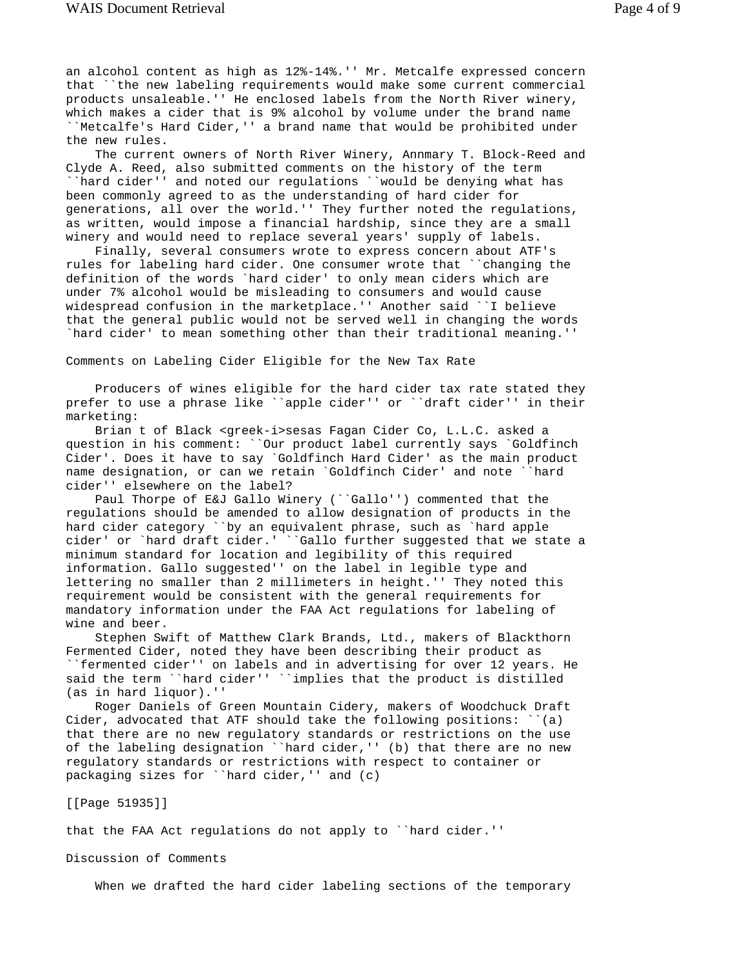an alcohol content as high as 12%-14%.'' Mr. Metcalfe expressed concern that ``the new labeling requirements would make some current commercial products unsaleable.'' He enclosed labels from the North River winery, which makes a cider that is 9% alcohol by volume under the brand name ``Metcalfe's Hard Cider,'' a brand name that would be prohibited under the new rules.

 The current owners of North River Winery, Annmary T. Block-Reed and Clyde A. Reed, also submitted comments on the history of the term ``hard cider'' and noted our regulations ``would be denying what has been commonly agreed to as the understanding of hard cider for generations, all over the world.'' They further noted the regulations, as written, would impose a financial hardship, since they are a small winery and would need to replace several years' supply of labels.

 Finally, several consumers wrote to express concern about ATF's rules for labeling hard cider. One consumer wrote that ``changing the definition of the words `hard cider' to only mean ciders which are under 7% alcohol would be misleading to consumers and would cause widespread confusion in the marketplace.'' Another said ``I believe that the general public would not be served well in changing the words `hard cider' to mean something other than their traditional meaning.''

Comments on Labeling Cider Eligible for the New Tax Rate

 Producers of wines eligible for the hard cider tax rate stated they prefer to use a phrase like ``apple cider'' or ``draft cider'' in their marketing:

 Brian t of Black <greek-i>sesas Fagan Cider Co, L.L.C. asked a question in his comment: ``Our product label currently says `Goldfinch Cider'. Does it have to say `Goldfinch Hard Cider' as the main product name designation, or can we retain `Goldfinch Cider' and note ``hard cider'' elsewhere on the label?

 Paul Thorpe of E&J Gallo Winery (``Gallo'') commented that the regulations should be amended to allow designation of products in the hard cider category ``by an equivalent phrase, such as `hard apple cider' or `hard draft cider.' ``Gallo further suggested that we state a minimum standard for location and legibility of this required information. Gallo suggested'' on the label in legible type and lettering no smaller than 2 millimeters in height.'' They noted this requirement would be consistent with the general requirements for mandatory information under the FAA Act regulations for labeling of wine and beer.

 Stephen Swift of Matthew Clark Brands, Ltd., makers of Blackthorn Fermented Cider, noted they have been describing their product as ``fermented cider'' on labels and in advertising for over 12 years. He said the term ``hard cider'' ``implies that the product is distilled (as in hard liquor).''

 Roger Daniels of Green Mountain Cidery, makers of Woodchuck Draft Cider, advocated that ATF should take the following positions: ``(a) that there are no new regulatory standards or restrictions on the use of the labeling designation ``hard cider,'' (b) that there are no new regulatory standards or restrictions with respect to container or packaging sizes for ``hard cider,'' and (c)

[[Page 51935]]

that the FAA Act regulations do not apply to ``hard cider.''

Discussion of Comments

When we drafted the hard cider labeling sections of the temporary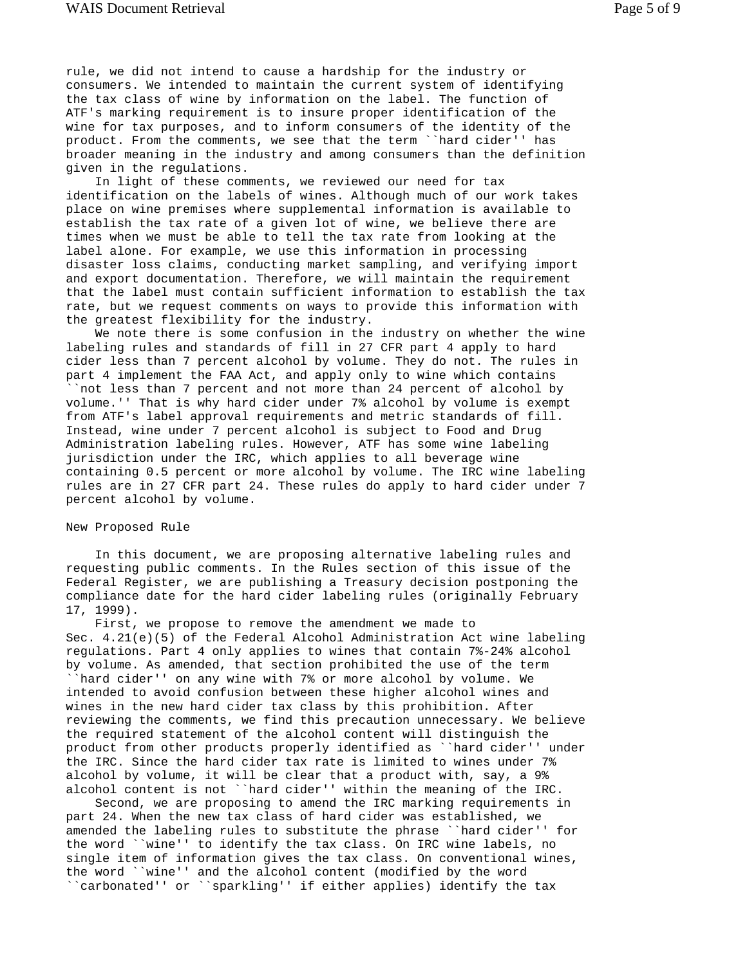rule, we did not intend to cause a hardship for the industry or consumers. We intended to maintain the current system of identifying the tax class of wine by information on the label. The function of ATF's marking requirement is to insure proper identification of the wine for tax purposes, and to inform consumers of the identity of the product. From the comments, we see that the term ``hard cider'' has broader meaning in the industry and among consumers than the definition given in the regulations.

 In light of these comments, we reviewed our need for tax identification on the labels of wines. Although much of our work takes place on wine premises where supplemental information is available to establish the tax rate of a given lot of wine, we believe there are times when we must be able to tell the tax rate from looking at the label alone. For example, we use this information in processing disaster loss claims, conducting market sampling, and verifying import and export documentation. Therefore, we will maintain the requirement that the label must contain sufficient information to establish the tax rate, but we request comments on ways to provide this information with the greatest flexibility for the industry.

 We note there is some confusion in the industry on whether the wine labeling rules and standards of fill in 27 CFR part 4 apply to hard cider less than 7 percent alcohol by volume. They do not. The rules in part 4 implement the FAA Act, and apply only to wine which contains ``not less than 7 percent and not more than 24 percent of alcohol by volume.'' That is why hard cider under 7% alcohol by volume is exempt from ATF's label approval requirements and metric standards of fill. Instead, wine under 7 percent alcohol is subject to Food and Drug Administration labeling rules. However, ATF has some wine labeling jurisdiction under the IRC, which applies to all beverage wine containing 0.5 percent or more alcohol by volume. The IRC wine labeling rules are in 27 CFR part 24. These rules do apply to hard cider under 7 percent alcohol by volume.

## New Proposed Rule

 In this document, we are proposing alternative labeling rules and requesting public comments. In the Rules section of this issue of the Federal Register, we are publishing a Treasury decision postponing the compliance date for the hard cider labeling rules (originally February 17, 1999).

 First, we propose to remove the amendment we made to Sec. 4.21(e)(5) of the Federal Alcohol Administration Act wine labeling regulations. Part 4 only applies to wines that contain 7%-24% alcohol by volume. As amended, that section prohibited the use of the term ``hard cider'' on any wine with 7% or more alcohol by volume. We intended to avoid confusion between these higher alcohol wines and wines in the new hard cider tax class by this prohibition. After reviewing the comments, we find this precaution unnecessary. We believe the required statement of the alcohol content will distinguish the product from other products properly identified as ``hard cider'' under the IRC. Since the hard cider tax rate is limited to wines under 7% alcohol by volume, it will be clear that a product with, say, a 9% alcohol content is not ``hard cider'' within the meaning of the IRC.

 Second, we are proposing to amend the IRC marking requirements in part 24. When the new tax class of hard cider was established, we amended the labeling rules to substitute the phrase ``hard cider'' for the word ``wine'' to identify the tax class. On IRC wine labels, no single item of information gives the tax class. On conventional wines, the word ``wine'' and the alcohol content (modified by the word ``carbonated'' or ``sparkling'' if either applies) identify the tax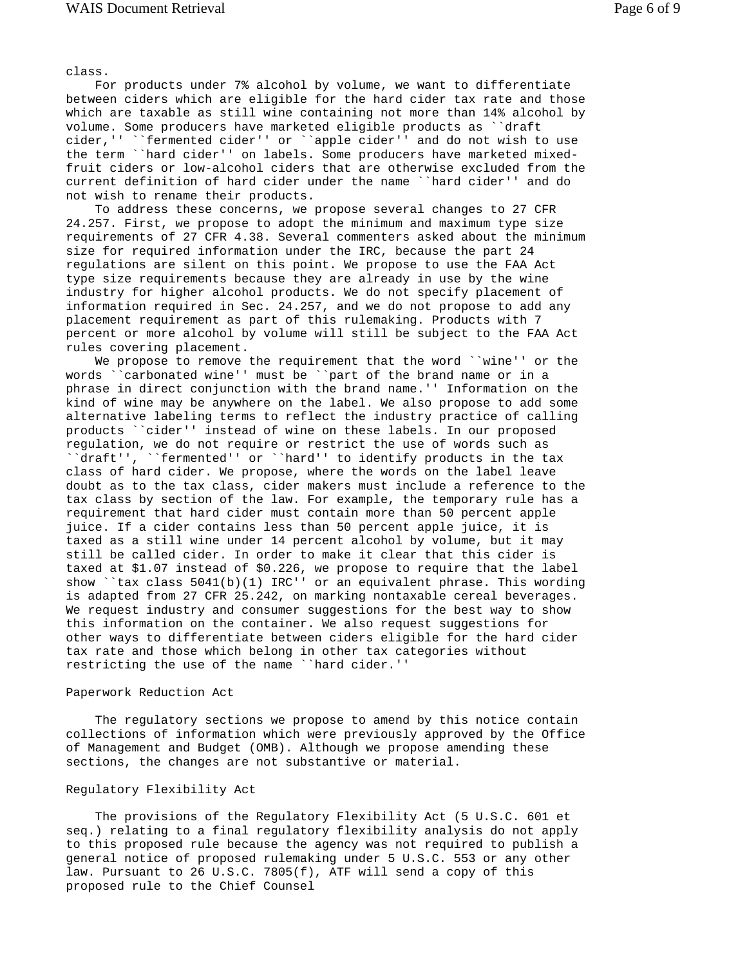class.

 For products under 7% alcohol by volume, we want to differentiate between ciders which are eligible for the hard cider tax rate and those which are taxable as still wine containing not more than 14% alcohol by volume. Some producers have marketed eligible products as ``draft cider,'' ``fermented cider'' or ``apple cider'' and do not wish to use the term ``hard cider'' on labels. Some producers have marketed mixedfruit ciders or low-alcohol ciders that are otherwise excluded from the current definition of hard cider under the name ``hard cider'' and do not wish to rename their products.

 To address these concerns, we propose several changes to 27 CFR 24.257. First, we propose to adopt the minimum and maximum type size requirements of 27 CFR 4.38. Several commenters asked about the minimum size for required information under the IRC, because the part 24 regulations are silent on this point. We propose to use the FAA Act type size requirements because they are already in use by the wine industry for higher alcohol products. We do not specify placement of information required in Sec. 24.257, and we do not propose to add any placement requirement as part of this rulemaking. Products with 7 percent or more alcohol by volume will still be subject to the FAA Act rules covering placement.

 We propose to remove the requirement that the word ``wine'' or the words ``carbonated wine'' must be ``part of the brand name or in a phrase in direct conjunction with the brand name.'' Information on the kind of wine may be anywhere on the label. We also propose to add some alternative labeling terms to reflect the industry practice of calling products ``cider'' instead of wine on these labels. In our proposed regulation, we do not require or restrict the use of words such as ``draft'', ``fermented'' or ``hard'' to identify products in the tax class of hard cider. We propose, where the words on the label leave doubt as to the tax class, cider makers must include a reference to the tax class by section of the law. For example, the temporary rule has a requirement that hard cider must contain more than 50 percent apple juice. If a cider contains less than 50 percent apple juice, it is taxed as a still wine under 14 percent alcohol by volume, but it may still be called cider. In order to make it clear that this cider is taxed at \$1.07 instead of \$0.226, we propose to require that the label show ``tax class  $5041(b)(1)$  IRC'' or an equivalent phrase. This wording is adapted from 27 CFR 25.242, on marking nontaxable cereal beverages. We request industry and consumer suggestions for the best way to show this information on the container. We also request suggestions for other ways to differentiate between ciders eligible for the hard cider tax rate and those which belong in other tax categories without restricting the use of the name ``hard cider.''

#### Paperwork Reduction Act

 The regulatory sections we propose to amend by this notice contain collections of information which were previously approved by the Office of Management and Budget (OMB). Although we propose amending these sections, the changes are not substantive or material.

# Regulatory Flexibility Act

 The provisions of the Regulatory Flexibility Act (5 U.S.C. 601 et seq.) relating to a final regulatory flexibility analysis do not apply to this proposed rule because the agency was not required to publish a general notice of proposed rulemaking under 5 U.S.C. 553 or any other law. Pursuant to 26 U.S.C. 7805(f), ATF will send a copy of this proposed rule to the Chief Counsel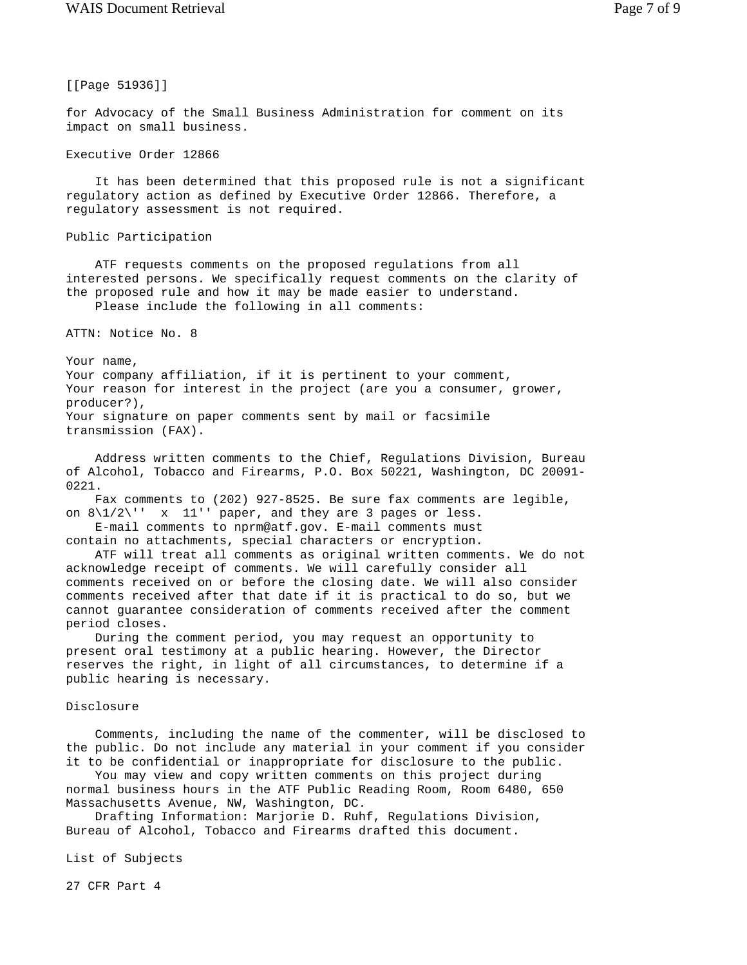[[Page 51936]]

for Advocacy of the Small Business Administration for comment on its impact on small business.

Executive Order 12866

 It has been determined that this proposed rule is not a significant regulatory action as defined by Executive Order 12866. Therefore, a regulatory assessment is not required.

Public Participation

 ATF requests comments on the proposed regulations from all interested persons. We specifically request comments on the clarity of the proposed rule and how it may be made easier to understand. Please include the following in all comments:

ATTN: Notice No. 8

Your name, Your company affiliation, if it is pertinent to your comment, Your reason for interest in the project (are you a consumer, grower, producer?), Your signature on paper comments sent by mail or facsimile transmission (FAX).

 Address written comments to the Chief, Regulations Division, Bureau of Alcohol, Tobacco and Firearms, P.O. Box 50221, Washington, DC 20091- 0221.

 Fax comments to (202) 927-8525. Be sure fax comments are legible, on  $8\1/2\$ '' x 11'' paper, and they are 3 pages or less.

 E-mail comments to nprm@atf.gov. E-mail comments must contain no attachments, special characters or encryption.

 ATF will treat all comments as original written comments. We do not acknowledge receipt of comments. We will carefully consider all comments received on or before the closing date. We will also consider comments received after that date if it is practical to do so, but we cannot guarantee consideration of comments received after the comment period closes.

 During the comment period, you may request an opportunity to present oral testimony at a public hearing. However, the Director reserves the right, in light of all circumstances, to determine if a public hearing is necessary.

## Disclosure

 Comments, including the name of the commenter, will be disclosed to the public. Do not include any material in your comment if you consider it to be confidential or inappropriate for disclosure to the public.

 You may view and copy written comments on this project during normal business hours in the ATF Public Reading Room, Room 6480, 650 Massachusetts Avenue, NW, Washington, DC.

 Drafting Information: Marjorie D. Ruhf, Regulations Division, Bureau of Alcohol, Tobacco and Firearms drafted this document.

List of Subjects

27 CFR Part 4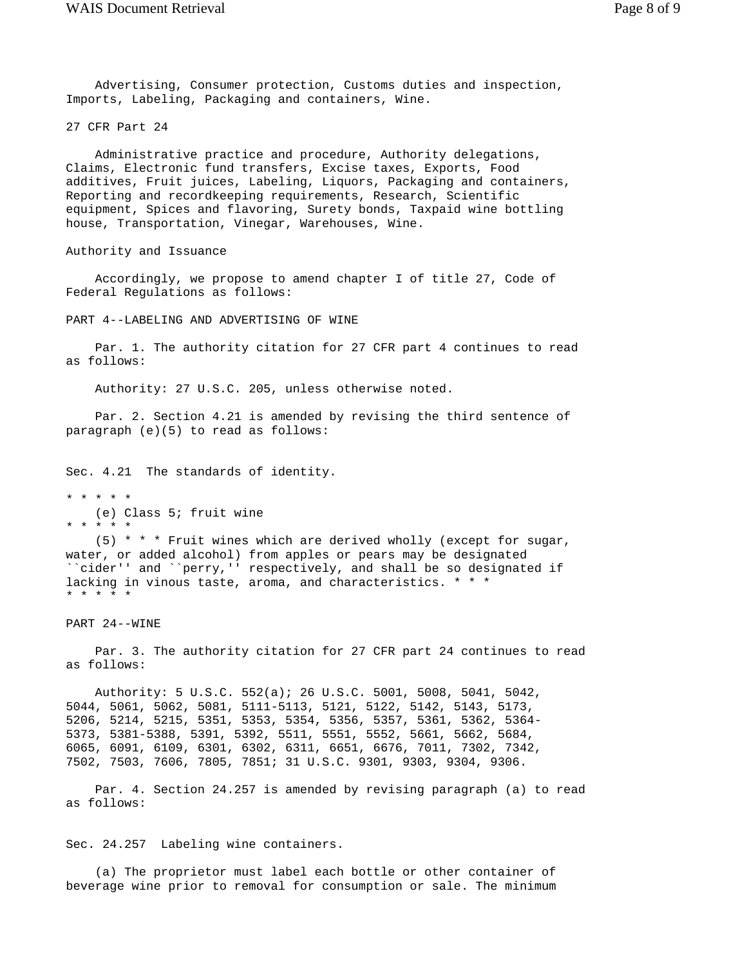Advertising, Consumer protection, Customs duties and inspection, Imports, Labeling, Packaging and containers, Wine.

27 CFR Part 24

 Administrative practice and procedure, Authority delegations, Claims, Electronic fund transfers, Excise taxes, Exports, Food additives, Fruit juices, Labeling, Liquors, Packaging and containers, Reporting and recordkeeping requirements, Research, Scientific equipment, Spices and flavoring, Surety bonds, Taxpaid wine bottling house, Transportation, Vinegar, Warehouses, Wine.

```
Authority and Issuance
```
 Accordingly, we propose to amend chapter I of title 27, Code of Federal Regulations as follows:

PART 4--LABELING AND ADVERTISING OF WINE

 Par. 1. The authority citation for 27 CFR part 4 continues to read as follows:

Authority: 27 U.S.C. 205, unless otherwise noted.

 Par. 2. Section 4.21 is amended by revising the third sentence of paragraph (e)(5) to read as follows:

Sec. 4.21 The standards of identity.

\* \* \* \* \*

 (e) Class 5; fruit wine \* \* \* \* \*

 $(5)$  \* \* \* Fruit wines which are derived wholly (except for sugar, water, or added alcohol) from apples or pears may be designated ``cider'' and ``perry,'' respectively, and shall be so designated if lacking in vinous taste, aroma, and characteristics. \* \* \* \* \* \* \* \*

PART 24--WINE

 Par. 3. The authority citation for 27 CFR part 24 continues to read as follows:

 Authority: 5 U.S.C. 552(a); 26 U.S.C. 5001, 5008, 5041, 5042, 5044, 5061, 5062, 5081, 5111-5113, 5121, 5122, 5142, 5143, 5173, 5206, 5214, 5215, 5351, 5353, 5354, 5356, 5357, 5361, 5362, 5364- 5373, 5381-5388, 5391, 5392, 5511, 5551, 5552, 5661, 5662, 5684, 6065, 6091, 6109, 6301, 6302, 6311, 6651, 6676, 7011, 7302, 7342, 7502, 7503, 7606, 7805, 7851; 31 U.S.C. 9301, 9303, 9304, 9306.

 Par. 4. Section 24.257 is amended by revising paragraph (a) to read as follows:

Sec. 24.257 Labeling wine containers.

 (a) The proprietor must label each bottle or other container of beverage wine prior to removal for consumption or sale. The minimum